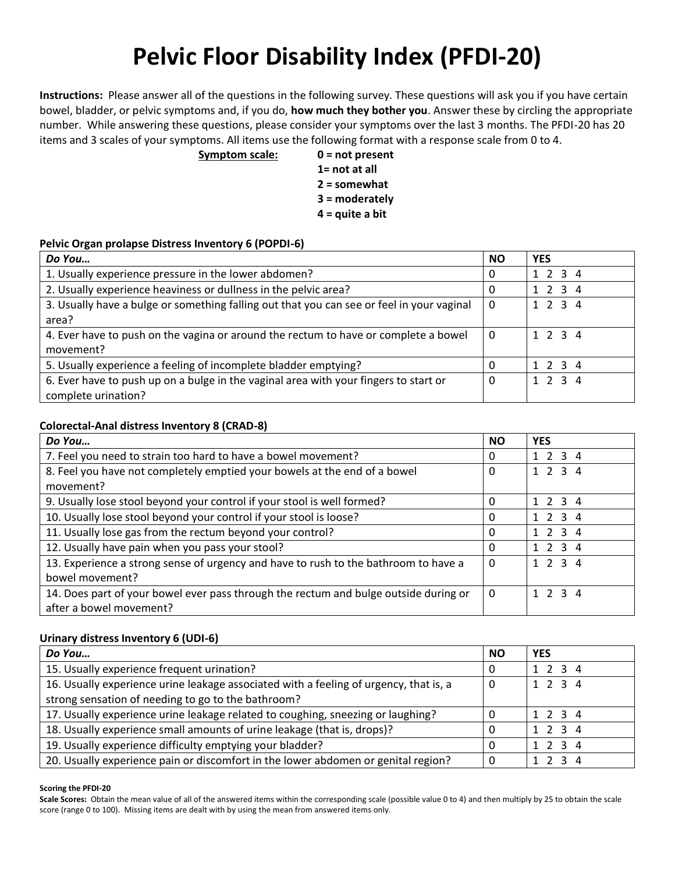# **Pelvic Floor Disability Index (PFDI-20)**

**Instructions:** Please answer all of the questions in the following survey. These questions will ask you if you have certain bowel, bladder, or pelvic symptoms and, if you do, **how much they bother you**. Answer these by circling the appropriate number. While answering these questions, please consider your symptoms over the last 3 months. The PFDI-20 has 20 items and 3 scales of your symptoms. All items use the following format with a response scale from 0 to 4.

**Symptom scale: 0 = not present**

- **1= not at all**
- **2 = somewhat**
- **3 = moderately**
- **4 = quite a bit**

### **Pelvic Organ prolapse Distress Inventory 6 (POPDI-6)**

| Do You                                                                                    | <b>NO</b> | <b>YES</b> |
|-------------------------------------------------------------------------------------------|-----------|------------|
| 1. Usually experience pressure in the lower abdomen?                                      | 0         | 1 2 3 4    |
| 2. Usually experience heaviness or dullness in the pelvic area?                           | 0         | 1 2 3 4    |
| 3. Usually have a bulge or something falling out that you can see or feel in your vaginal | 0         | 1 2 3 4    |
| area?                                                                                     |           |            |
| 4. Ever have to push on the vagina or around the rectum to have or complete a bowel       | 0         | 1 2 3 4    |
| movement?                                                                                 |           |            |
| 5. Usually experience a feeling of incomplete bladder emptying?                           | 0         | 1 2 3 4    |
| 6. Ever have to push up on a bulge in the vaginal area with your fingers to start or      | 0         | 1234       |
| complete urination?                                                                       |           |            |

### **Colorectal-Anal distress Inventory 8 (CRAD-8)**

| Do You                                                                               | <b>NO</b> | <b>YES</b>      |
|--------------------------------------------------------------------------------------|-----------|-----------------|
| 7. Feel you need to strain too hard to have a bowel movement?                        | 0         | 1 2 3 4         |
| 8. Feel you have not completely emptied your bowels at the end of a bowel            | 0         | 1 2 3 4         |
| movement?                                                                            |           |                 |
| 9. Usually lose stool beyond your control if your stool is well formed?              | $\Omega$  | $1 \t2 \t3 \t4$ |
| 10. Usually lose stool beyond your control if your stool is loose?                   | 0         | $1 \t2 \t3 \t4$ |
| 11. Usually lose gas from the rectum beyond your control?                            | 0         | $1 \t2 \t3 \t4$ |
| 12. Usually have pain when you pass your stool?                                      | 0         | $1 \t2 \t3 \t4$ |
| 13. Experience a strong sense of urgency and have to rush to the bathroom to have a  | 0         | 1234            |
| bowel movement?                                                                      |           |                 |
| 14. Does part of your bowel ever pass through the rectum and bulge outside during or | $\Omega$  | $1 \t2 \t3 \t4$ |
| after a bowel movement?                                                              |           |                 |

## **Urinary distress Inventory 6 (UDI-6)**

| Do You                                                                                | <b>NO</b> | <b>YES</b> |
|---------------------------------------------------------------------------------------|-----------|------------|
| 15. Usually experience frequent urination?                                            | 0         | 1 2 3 4    |
| 16. Usually experience urine leakage associated with a feeling of urgency, that is, a | 0         | 1 2 3 4    |
| strong sensation of needing to go to the bathroom?                                    |           |            |
| 17. Usually experience urine leakage related to coughing, sneezing or laughing?       | 0         | 1 2 3 4    |
| 18. Usually experience small amounts of urine leakage (that is, drops)?               | 0         | 1 2 3 4    |
| 19. Usually experience difficulty emptying your bladder?                              | $\Omega$  | 1234       |
| 20. Usually experience pain or discomfort in the lower abdomen or genital region?     | 0         | 1 2 3 4    |

#### **Scoring the PFDI-20**

Scale Scores: Obtain the mean value of all of the answered items within the corresponding scale (possible value 0 to 4) and then multiply by 25 to obtain the scale score (range 0 to 100). Missing items are dealt with by using the mean from answered items only.